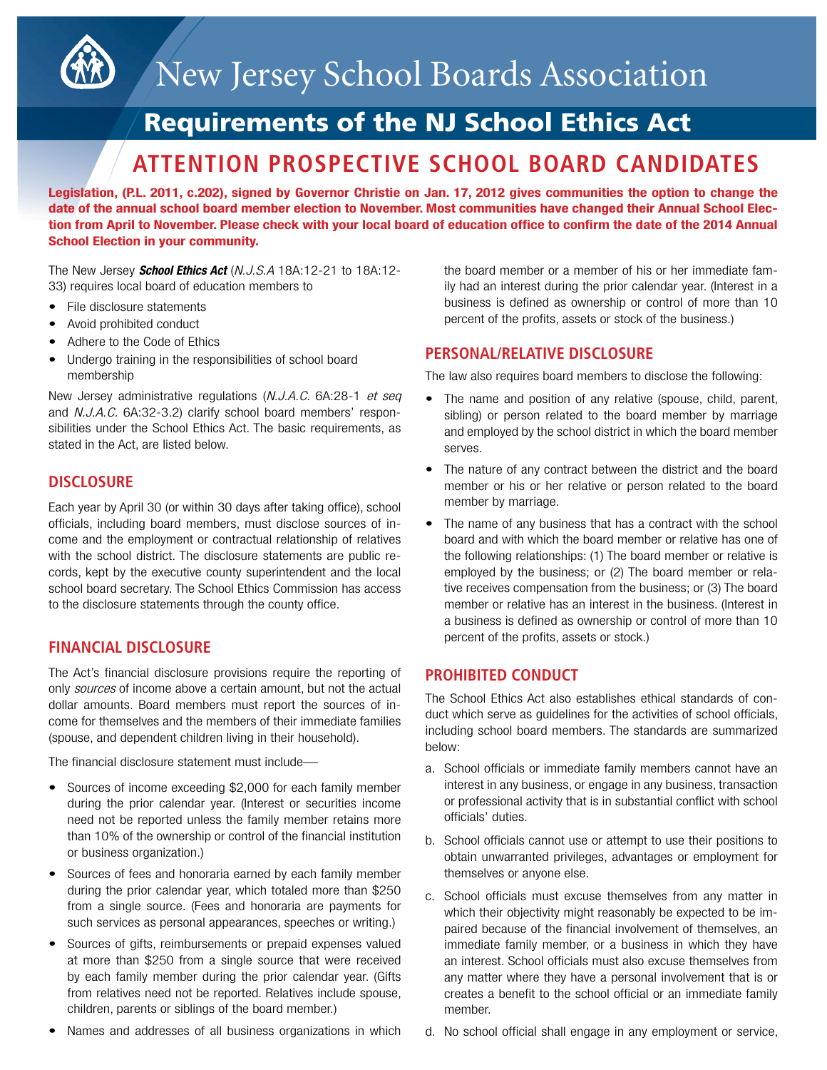

# New Jersey School Boards Association

## Requirements of the NJ School Ethics Act

### **ATTENTION PROSPECTIVE SCHOOL BOARD CANDIDATES**

**Legislation, (P.L. 2011, c.202), signed by Governor Christie on Jan. 17, 2012 gives communities the option to change the date of the annual school board member election to November. Most communities have changed their Annual School Elec**tion from April to November. Please check with your local board of education office to confirm the date of the 2014 Annual **School Election in your community.**

The New Jersey *School Ethics Act* (*N.J.S.A* 18A:12-21 to 18A:12- 33) requires local board of education members to

- File disclosure statements
- Avoid prohibited conduct
- Adhere to the Code of Ethics
- Undergo training in the responsibilities of school board membership

New Jersey administrative regulations (*N.J.A.C*. 6A:28-1 *et seq* and *N.J.A.C.* 6A:32-3.2) clarify school board members' responsibilities under the School Ethics Act. The basic requirements, as stated in the Act, are listed below.

#### **DISCLOSURE**

Each year by April 30 (or within 30 days after taking office), school officials, including board members, must disclose sources of income and the employment or contractual relationship of relatives with the school district. The disclosure statements are public records, kept by the executive county superintendent and the local school board secretary. The School Ethics Commission has access to the disclosure statements through the county office.

#### **FINANCIAL DISCLOSURE**

The Act's financial disclosure provisions require the reporting of only *sources* of income above a certain amount, but not the actual dollar amounts. Board members must report the sources of income for themselves and the members of their immediate families (spouse, and dependent children living in their household).

The financial disclosure statement must include—

- Sources of income exceeding \$2,000 for each family member during the prior calendar year. (Interest or securities income need not be reported unless the family member retains more than 10% of the ownership or control of the financial institution or business organization.)
- Sources of fees and honoraria earned by each family member during the prior calendar year, which totaled more than \$250 from a single source. (Fees and honoraria are payments for such services as personal appearances, speeches or writing.)
- Sources of gifts, reimbursements or prepaid expenses valued at more than \$250 from a single source that were received by each family member during the prior calendar year. (Gifts from relatives need not be reported. Relatives include spouse, children, parents or siblings of the board member.)
- Names and addresses of all business organizations in which

the board member or a member of his or her immediate family had an interest during the prior calendar year. (Interest in a business is defined as ownership or control of more than 10 percent of the profits, assets or stock of the business.)

#### **PERSONAL/RELATIVE DISCLOSURE**

The law also requires board members to disclose the following:

- The name and position of any relative (spouse, child, parent, sibling) or person related to the board member by marriage and employed by the school district in which the board member serves.
- The nature of any contract between the district and the board member or his or her relative or person related to the board member by marriage.
- The name of any business that has a contract with the school board and with which the board member or relative has one of the following relationships: (1) The board member or relative is employed by the business; or (2) The board member or relative receives compensation from the business; or (3) The board member or relative has an interest in the business. (Interest in a business is defined as ownership or control of more than 10 percent of the profits, assets or stock.)

#### **PROHIBITED CONDUCT**

The School Ethics Act also establishes ethical standards of conduct which serve as guidelines for the activities of school officials, including school board members. The standards are summarized below:

- a. School officials or immediate family members cannot have an interest in any business, or engage in any business, transaction or professional activity that is in substantial conflict with school officials' duties.
- b. School officials cannot use or attempt to use their positions to obtain unwarranted privileges, advantages or employment for themselves or anyone else.
- c. School officials must excuse themselves from any matter in which their objectivity might reasonably be expected to be impaired because of the financial involvement of themselves, an immediate family member, or a business in which they have an interest. School officials must also excuse themselves from any matter where they have a personal involvement that is or creates a benefit to the school official or an immediate family member.
- d. No school official shall engage in any employment or service,